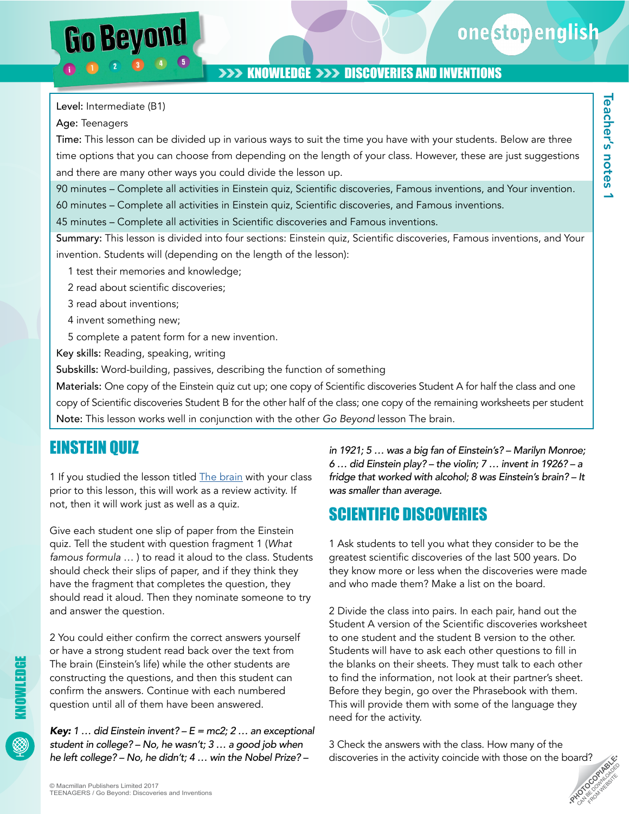onestopenglish

## **>>> KNOWLEDGE >>> DISCOVERIES AND INVENTIONS**

Level: Intermediate (B1)

Go Beyond

Age: Teenagers

Time: This lesson can be divided up in various ways to suit the time you have with your students. Below are three time options that you can choose from depending on the length of your class. However, these are just suggestions and there are many other ways you could divide the lesson up.

90 minutes – Complete all activities in Einstein quiz, Scientific discoveries, Famous inventions, and Your invention.

60 minutes – Complete all activities in Einstein quiz, Scientific discoveries, and Famous inventions.

45 minutes – Complete all activities in Scientific discoveries and Famous inventions.

Summary: This lesson is divided into four sections: Einstein quiz, Scientific discoveries, Famous inventions, and Your invention. Students will (depending on the length of the lesson):

- 1 test their memories and knowledge;
- 2 read about scientific discoveries;
- 3 read about inventions;
- 4 invent something new;
- 5 complete a patent form for a new invention.

Key skills: Reading, speaking, writing

Subskills: Word-building, passives, describing the function of something

Materials: One copy of the Einstein quiz cut up; one copy of Scientific discoveries Student A for half the class and one copy of Scientific discoveries Student B for the other half of the class; one copy of the remaining worksheets per student Note: This lesson works well in conjunction with the other *Go Beyond* lesson The brain.

## EINSTEIN QUIZ

1 If you studied the lesson titled **The brain** with your class prior to this lesson, this will work as a review activity. If not, then it will work just as well as a quiz.

Give each student one slip of paper from the Einstein quiz. Tell the student with question fragment 1 (*What famous formula* … ) to read it aloud to the class. Students should check their slips of paper, and if they think they have the fragment that completes the question, they should read it aloud. Then they nominate someone to try and answer the question.

2 You could either confirm the correct answers yourself or have a strong student read back over the text from The brain (Einstein's life) while the other students are constructing the questions, and then this student can confirm the answers. Continue with each numbered question until all of them have been answered.

*Key: 1 … did Einstein invent? – E = mc2; 2 … an exceptional student in college? – No, he wasn't; 3 … a good job when he left college? – No, he didn't; 4 … win the Nobel Prize? –* 

*in 1921; 5 … was a big fan of Einstein's? – Marilyn Monroe; 6 … did Einstein play? – the violin; 7 … invent in 1926? – a fridge that worked with alcohol; 8 was Einstein's brain? – It was smaller than average.*

## SCIENTIFIC DISCOVERIES

1 Ask students to tell you what they consider to be the greatest scientific discoveries of the last 500 years. Do they know more or less when the discoveries were made and who made them? Make a list on the board.

2 Divide the class into pairs. In each pair, hand out the Student A version of the Scientific discoveries worksheet to one student and the student B version to the other. Students will have to ask each other questions to fill in the blanks on their sheets. They must talk to each other to find the information, not look at their partner's sheet. Before they begin, go over the Phrasebook with them. This will provide them with some of the language they need for the activity.

**PHOTOCOPIABLE** 3 Check the answers with the class. How many of the discoveries in the activity coincide with those on the board?

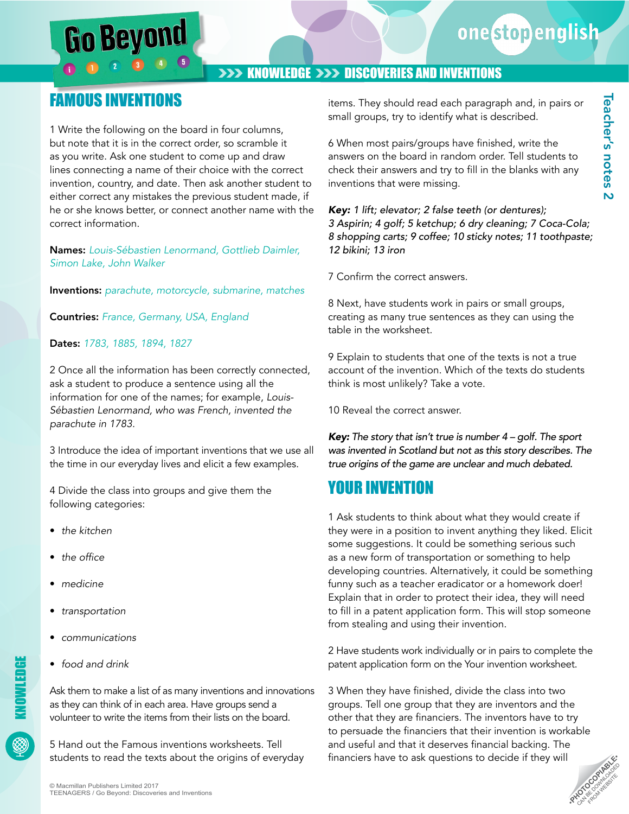# Go Beyond

## onestopenglish

Teacher's notes 2

**Teacher's notes 2** 

## **>>> KNOWLEDGE >>> DISCOVERIES AND INVENTIONS**

## FAMOUS INVENTIONS

1 Write the following on the board in four columns, but note that it is in the correct order, so scramble it as you write. Ask one student to come up and draw lines connecting a name of their choice with the correct invention, country, and date. Then ask another student to either correct any mistakes the previous student made, if he or she knows better, or connect another name with the correct information.

Names: *Louis-Sébastien Lenormand, Gottlieb Daimler, Simon Lake, John Walker* 

Inventions: *parachute, motorcycle, submarine, matches* 

Countries: *France, Germany, USA, England* 

#### Dates: *1783, 1885, 1894, 1827*

2 Once all the information has been correctly connected, ask a student to produce a sentence using all the information for one of the names; for example, *Louis-Sébastien Lenormand, who was French, invented the parachute in 1783.* 

3 Introduce the idea of important inventions that we use all the time in our everyday lives and elicit a few examples.

4 Divide the class into groups and give them the following categories:

- *the kitchen*
- the office
- *medicine*
- *transportation*
- *communications*
- *food and drink*

Ask them to make a list of as many inventions and innovations as they can think of in each area. Have groups send a volunteer to write the items from their lists on the board.

5 Hand out the Famous inventions worksheets. Tell students to read the texts about the origins of everyday 6 When most pairs/groups have finished, write the answers on the board in random order. Tell students to check their answers and try to fill in the blanks with any inventions that were missing.

*Key: 1 lift; elevator; 2 false teeth (or dentures); 3 Aspirin; 4 golf; 5 ketchup; 6 dry cleaning; 7 Coca-Cola; 8 shopping carts; 9 coffee; 10 sticky notes; 11 toothpaste; 12 bikini; 13 iron*

7 Confirm the correct answers.

8 Next, have students work in pairs or small groups, creating as many true sentences as they can using the table in the worksheet.

9 Explain to students that one of the texts is not a true account of the invention. Which of the texts do students think is most unlikely? Take a vote.

10 Reveal the correct answer.

*Key: The story that isn't true is number 4 – golf. The sport was invented in Scotland but not as this story describes. The true origins of the game are unclear and much debated.*

## YOUR INVENTION

1 Ask students to think about what they would create if they were in a position to invent anything they liked. Elicit some suggestions. It could be something serious such as a new form of transportation or something to help developing countries. Alternatively, it could be something funny such as a teacher eradicator or a homework doer! Explain that in order to protect their idea, they will need to fill in a patent application form. This will stop someone from stealing and using their invention.

2 Have students work individually or in pairs to complete the patent application form on the Your invention worksheet.

3 When they have finished, divide the class into two groups. Tell one group that they are inventors and the other that they are financiers. The inventors have to try to persuade the financiers that their invention is workable and useful and that it deserves financial backing. The financiers have to ask questions to decide if they will

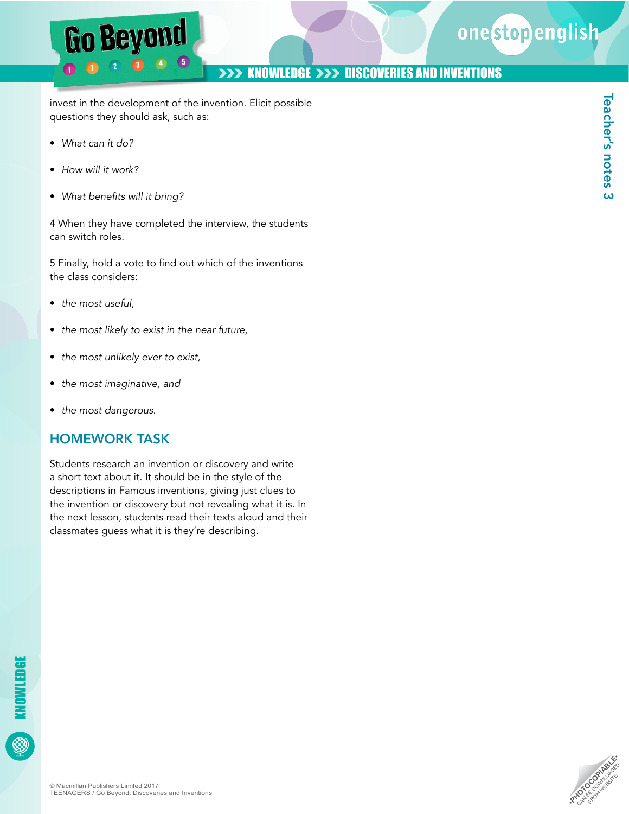## onestopenglish

## **>>> KNOWLEDGE >>> DISCOVERIES AND INVENTIONS**

invest in the development of the invention. Elicit possible questions they should ask, such as:

- *What can it do?*
- *How will it work?*
- What benefits will it bring?

**Go Beyond** 

4 When they have completed the interview, the students can switch roles.

5 Finally, hold a vote to find out which of the inventions the class considers:

- *the most useful,*
- *the most likely to exist in the near future,*
- *the most unlikely ever to exist,*
- *the most imaginative, and*
- *the most dangerous.*

### HOMEWORK TASK

Students research an invention or discovery and write a short text about it. It should be in the style of the descriptions in Famous inventions, giving just clues to the invention or discovery but not revealing what it is. In the next lesson, students read their texts aloud and their classmates guess what it is they're describing.



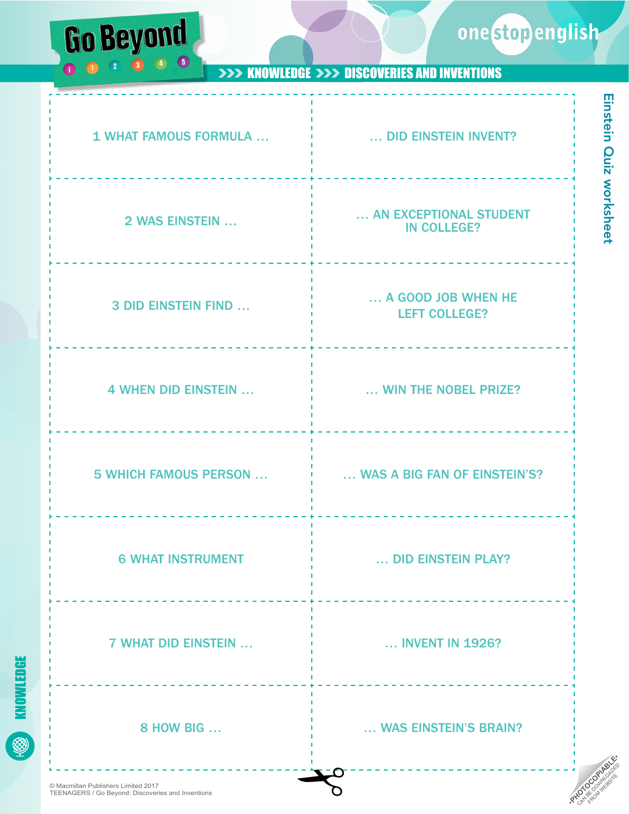





**COM** WEBSITE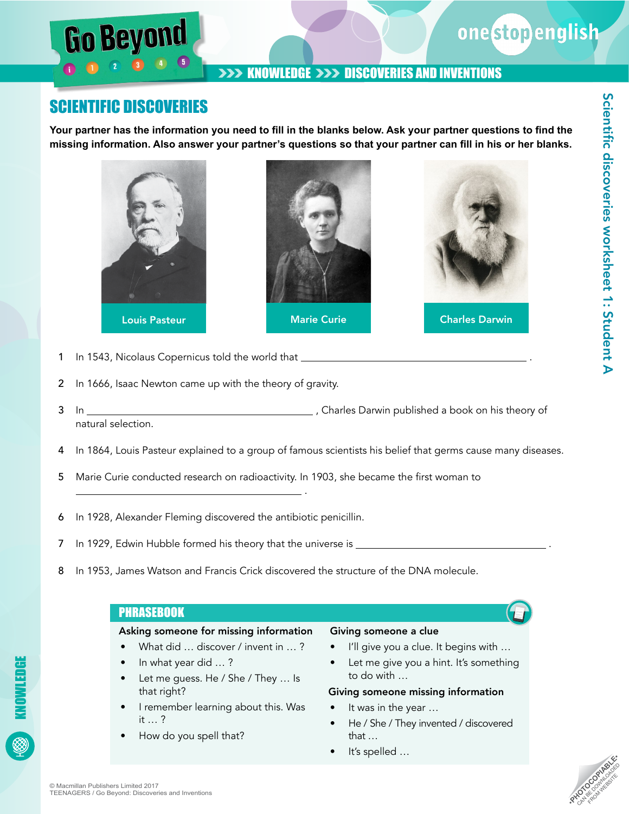

## SCIENTIFIC DISCOVERIES

**Go Beyon** 

**Your partner has the information you need to fill in the blanks below. Ask your partner questions to find the missing information. Also answer your partner's questions so that your partner can fill in his or her blanks.**



- 1 In 1543, Nicolaus Copernicus told the world that
- 2 In 1666, Isaac Newton came up with the theory of gravity.
- 3 In  $\frac{1}{2}$  In  $\frac{1}{2}$  In  $\frac{1}{2}$  In  $\frac{1}{2}$  and  $\frac{1}{2}$  and  $\frac{1}{2}$  and  $\frac{1}{2}$  are Darwin published a book on his theory of natural selection.
- 4 In 1864, Louis Pasteur explained to a group of famous scientists his belief that germs cause many diseases.
- 5 Marie Curie conducted research on radioactivity. In 1903, she became the first woman to
- 6 In 1928, Alexander Fleming discovered the antibiotic penicillin.
- 7 In 1929, Edwin Hubble formed his theory that the universe is .

.

8 In 1953, James Watson and Francis Crick discovered the structure of the DNA molecule.

#### **PHRASEBOOK**

#### Asking someone for missing information

- What did ... discover / invent in ...?
- In what year did … ?
- Let me guess. He / She / They ... Is that right?
- I remember learning about this. Was it … ?
- How do you spell that?

#### Giving someone a clue

- I'll give you a clue. It begins with …
- Let me give you a hint. It's something to do with …

#### Giving someone missing information

- It was in the year …
- He / She / They invented / discovered that …
- It's spelled ...

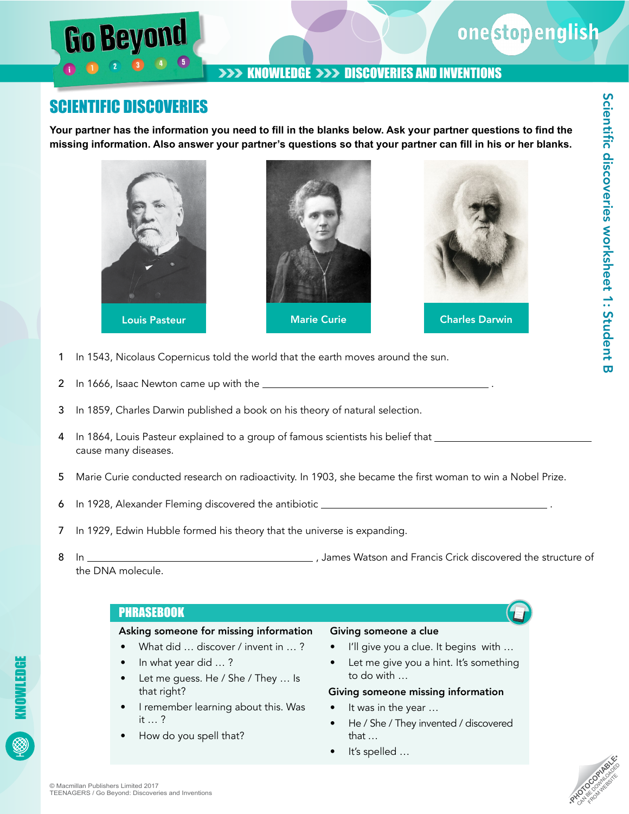

## SCIENTIFIC DISCOVERIES

Go Beyon

**Your partner has the information you need to fill in the blanks below. Ask your partner questions to find the missing information. Also answer your partner's questions so that your partner can fill in his or her blanks.**



- 1 In 1543, Nicolaus Copernicus told the world that the earth moves around the sun.
- 2 In 1666, Isaac Newton came up with the .
- 3 In 1859, Charles Darwin published a book on his theory of natural selection.
- 4 In 1864, Louis Pasteur explained to a group of famous scientists his belief that \_\_\_\_\_\_\_\_\_\_\_\_\_\_\_\_\_\_\_\_\_\_\_\_\_\_\_ cause many diseases.
- 5 Marie Curie conducted research on radioactivity. In 1903, she became the first woman to win a Nobel Prize.
- 6 In 1928, Alexander Fleming discovered the antibiotic .
- 7 In 1929, Edwin Hubble formed his theory that the universe is expanding.
- 8 In , James Watson and Francis Crick discovered the structure of the DNA molecule.

#### **PHRASEBOOK**

#### Asking someone for missing information

- What did ... discover / invent in ...?
- In what year did … ?
- Let me guess. He / She / They ... Is that right?
- I remember learning about this. Was it … ?
- How do you spell that?

#### Giving someone a clue

- I'll give you a clue. It begins with …
- Let me give you a hint. It's something to do with …

#### Giving someone missing information

- It was in the year ...
- He / She / They invented / discovered that …
- It's spelled ...

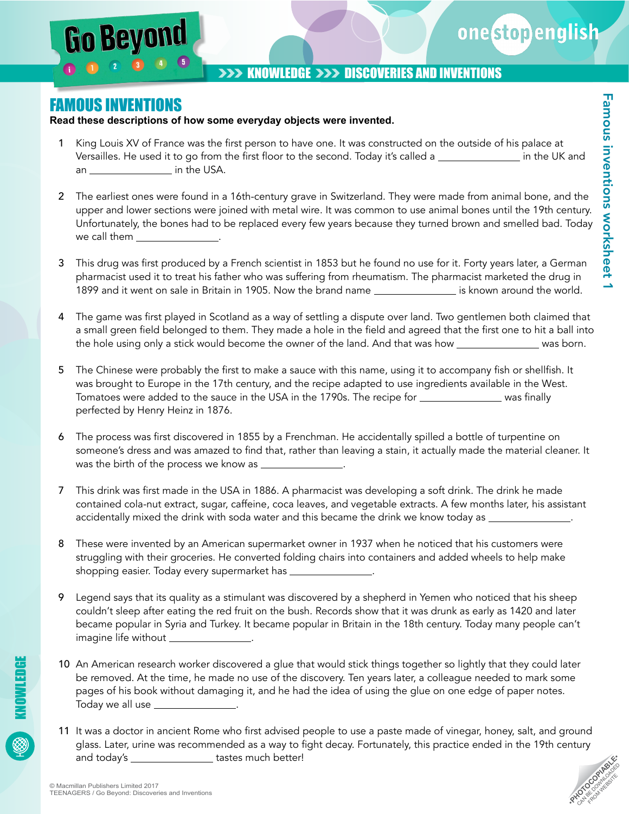

## FAMOUS INVENTIONS

**Go Beyon** 

**Read these descriptions of how some everyday objects were invented.** 

- King Louis XV of France was the first person to have one. It was constructed on the outside of his palace at Versailles. He used it to go from the first floor to the second. Today it's called a **in the UK** and an \_\_\_\_\_\_\_\_\_\_\_\_\_\_\_\_\_\_\_\_ in the USA.
- 2 The earliest ones were found in a 16th-century grave in Switzerland. They were made from animal bone, and the upper and lower sections were joined with metal wire. It was common to use animal bones until the 19th century. Unfortunately, the bones had to be replaced every few years because they turned brown and smelled bad. Today we call them \_\_
- 3 This drug was first produced by a French scientist in 1853 but he found no use for it. Forty years later, a German pharmacist used it to treat his father who was suffering from rheumatism. The pharmacist marketed the drug in 1899 and it went on sale in Britain in 1905. Now the brand name is known around the world.
- 4 The game was first played in Scotland as a way of settling a dispute over land. Two gentlemen both claimed that a small green field belonged to them. They made a hole in the field and agreed that the first one to hit a ball into the hole using only a stick would become the owner of the land. And that was how was manufus was born.
- 5 The Chinese were probably the first to make a sauce with this name, using it to accompany fish or shellfish. It was brought to Europe in the 17th century, and the recipe adapted to use ingredients available in the West. Tomatoes were added to the sauce in the USA in the 1790s. The recipe for was was finally perfected by Henry Heinz in 1876.
- 6 The process was first discovered in 1855 by a Frenchman. He accidentally spilled a bottle of turpentine on someone's dress and was amazed to find that, rather than leaving a stain, it actually made the material cleaner. It was the birth of the process we know as \_
- 7 This drink was first made in the USA in 1886. A pharmacist was developing a soft drink. The drink he made contained cola-nut extract, sugar, caffeine, coca leaves, and vegetable extracts. A few months later, his assistant accidentally mixed the drink with soda water and this became the drink we know today as \_\_\_\_\_\_\_\_
- 8 These were invented by an American supermarket owner in 1937 when he noticed that his customers were struggling with their groceries. He converted folding chairs into containers and added wheels to help make shopping easier. Today every supermarket has **with the symmum**
- 9 Legend says that its quality as a stimulant was discovered by a shepherd in Yemen who noticed that his sheep couldn't sleep after eating the red fruit on the bush. Records show that it was drunk as early as 1420 and later became popular in Syria and Turkey. It became popular in Britain in the 18th century. Today many people can't imagine life without \_
- 10 An American research worker discovered a glue that would stick things together so lightly that they could later be removed. At the time, he made no use of the discovery. Ten years later, a colleague needed to mark some pages of his book without damaging it, and he had the idea of using the glue on one edge of paper notes. Today we all use .
- 11 It was a doctor in ancient Rome who first advised people to use a paste made of vinegar, honey, salt, and ground glass. Later, urine was recommended as a way to fight decay. Fortunately, this practice ended in the 19th century and today's \_\_\_\_\_\_\_\_\_\_\_\_\_\_\_\_\_\_ tastes much better!

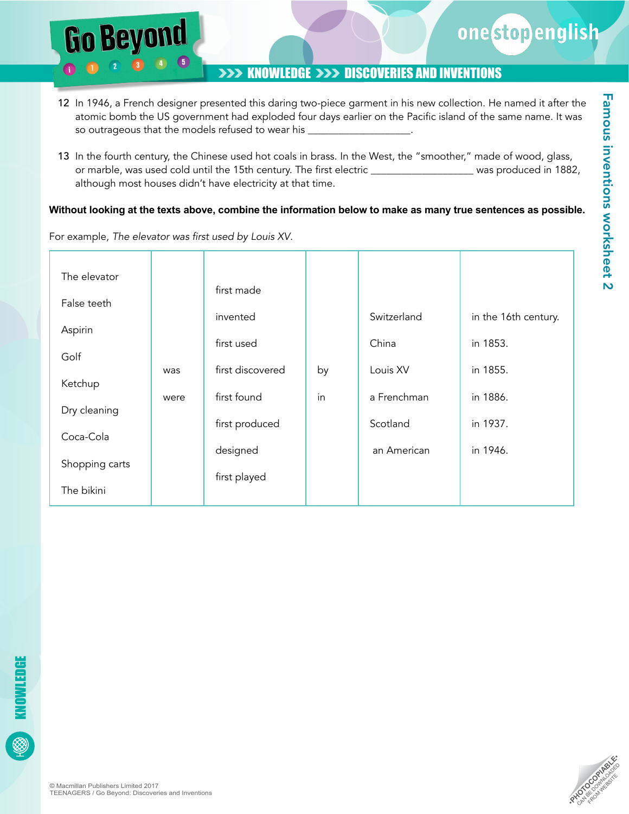

- 12 In 1946, a French designer presented this daring two-piece garment in his new collection. He named it after the atomic bomb the US government had exploded four days earlier on the Pacific island of the same name. It was so outrageous that the models refused to wear his \_
- 13 In the fourth century, the Chinese used hot coals in brass. In the West, the "smoother," made of wood, glass, or marble, was used cold until the 15th century. The first electric \_\_\_\_\_\_\_\_\_\_\_\_\_\_\_\_\_\_\_\_\_ was produced in 1882, although most houses didn't have electricity at that time.

#### **Without looking at the texts above, combine the information below to make as many true sentences as possible.**

| The elevator   |      | first made       |    |             |                      |
|----------------|------|------------------|----|-------------|----------------------|
| False teeth    |      | invented         |    | Switzerland | in the 16th century. |
| Aspirin        |      |                  |    |             |                      |
| Golf           |      | first used       |    | China       | in 1853.             |
| Ketchup        | was  | first discovered | by | Louis XV    | in 1855.             |
| Dry cleaning   | were | first found      | in | a Frenchman | in 1886.             |
|                |      | first produced   |    | Scotland    | in 1937.             |
| Coca-Cola      |      | designed         |    | an American | in 1946.             |
| Shopping carts |      | first played     |    |             |                      |
| The bikini     |      |                  |    |             |                      |

For example, The elevator was first used by Louis XV.

**Go Beyond**